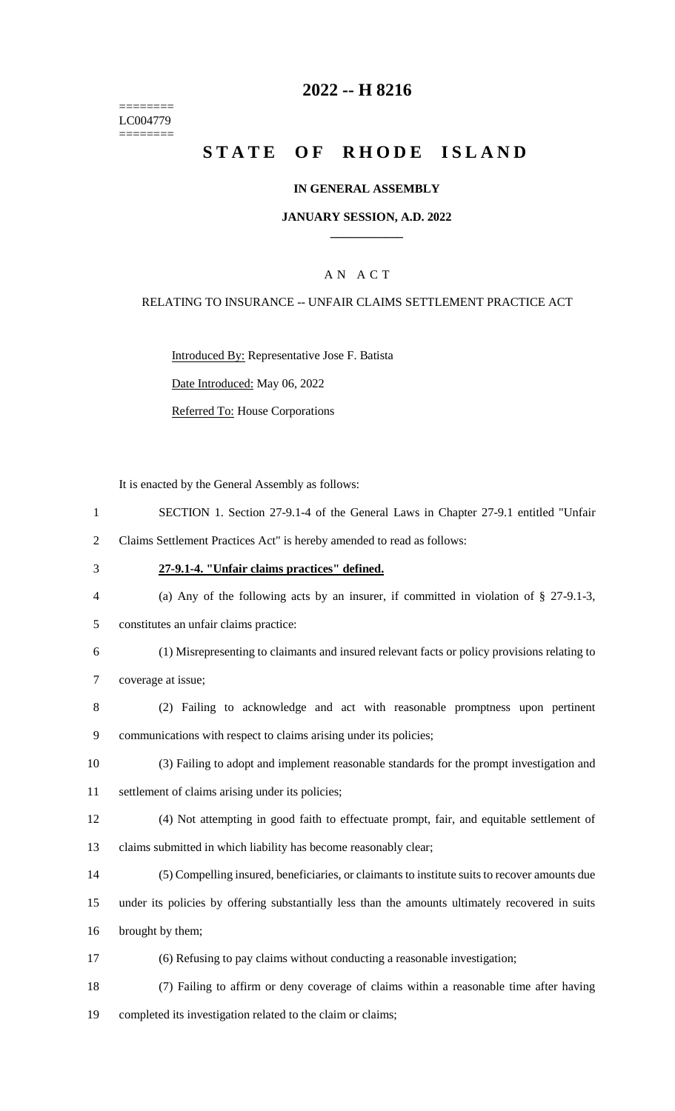======== LC004779 ========

## **-- H 8216**

# **STATE OF RHODE ISLAND**

### **IN GENERAL ASSEMBLY**

### **JANUARY SESSION, A.D. 2022 \_\_\_\_\_\_\_\_\_\_\_\_**

## A N A C T

#### RELATING TO INSURANCE -- UNFAIR CLAIMS SETTLEMENT PRACTICE ACT

Introduced By: Representative Jose F. Batista

Date Introduced: May 06, 2022

Referred To: House Corporations

It is enacted by the General Assembly as follows:

- SECTION 1. Section 27-9.1-4 of the General Laws in Chapter 27-9.1 entitled "Unfair
- Claims Settlement Practices Act" is hereby amended to read as follows:
- **27-9.1-4. "Unfair claims practices" defined.**
- 

- (a) Any of the following acts by an insurer, if committed in violation of § 27-9.1-3,
- constitutes an unfair claims practice:
- (1) Misrepresenting to claimants and insured relevant facts or policy provisions relating to coverage at issue;
- (2) Failing to acknowledge and act with reasonable promptness upon pertinent communications with respect to claims arising under its policies;
- (3) Failing to adopt and implement reasonable standards for the prompt investigation and
- settlement of claims arising under its policies;
- (4) Not attempting in good faith to effectuate prompt, fair, and equitable settlement of claims submitted in which liability has become reasonably clear;
- (5) Compelling insured, beneficiaries, or claimants to institute suits to recover amounts due
- under its policies by offering substantially less than the amounts ultimately recovered in suits brought by them;
- (6) Refusing to pay claims without conducting a reasonable investigation;
- (7) Failing to affirm or deny coverage of claims within a reasonable time after having completed its investigation related to the claim or claims;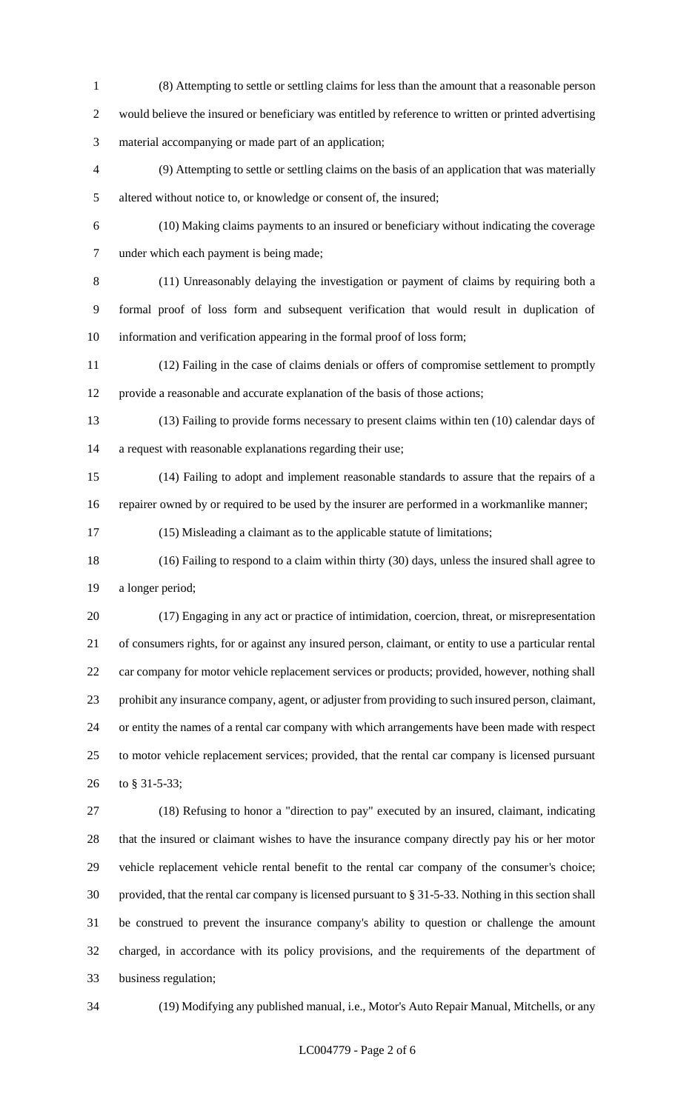- (8) Attempting to settle or settling claims for less than the amount that a reasonable person would believe the insured or beneficiary was entitled by reference to written or printed advertising material accompanying or made part of an application;
- (9) Attempting to settle or settling claims on the basis of an application that was materially altered without notice to, or knowledge or consent of, the insured;
- 

 (10) Making claims payments to an insured or beneficiary without indicating the coverage under which each payment is being made;

 (11) Unreasonably delaying the investigation or payment of claims by requiring both a formal proof of loss form and subsequent verification that would result in duplication of information and verification appearing in the formal proof of loss form;

 (12) Failing in the case of claims denials or offers of compromise settlement to promptly provide a reasonable and accurate explanation of the basis of those actions;

- (13) Failing to provide forms necessary to present claims within ten (10) calendar days of a request with reasonable explanations regarding their use;
- (14) Failing to adopt and implement reasonable standards to assure that the repairs of a repairer owned by or required to be used by the insurer are performed in a workmanlike manner;

(15) Misleading a claimant as to the applicable statute of limitations;

 (16) Failing to respond to a claim within thirty (30) days, unless the insured shall agree to a longer period;

 (17) Engaging in any act or practice of intimidation, coercion, threat, or misrepresentation of consumers rights, for or against any insured person, claimant, or entity to use a particular rental car company for motor vehicle replacement services or products; provided, however, nothing shall prohibit any insurance company, agent, or adjuster from providing to such insured person, claimant, or entity the names of a rental car company with which arrangements have been made with respect to motor vehicle replacement services; provided, that the rental car company is licensed pursuant to § 31-5-33;

 (18) Refusing to honor a "direction to pay" executed by an insured, claimant, indicating that the insured or claimant wishes to have the insurance company directly pay his or her motor vehicle replacement vehicle rental benefit to the rental car company of the consumer's choice; provided, that the rental car company is licensed pursuant to § 31-5-33. Nothing in this section shall be construed to prevent the insurance company's ability to question or challenge the amount charged, in accordance with its policy provisions, and the requirements of the department of business regulation;

(19) Modifying any published manual, i.e., Motor's Auto Repair Manual, Mitchells, or any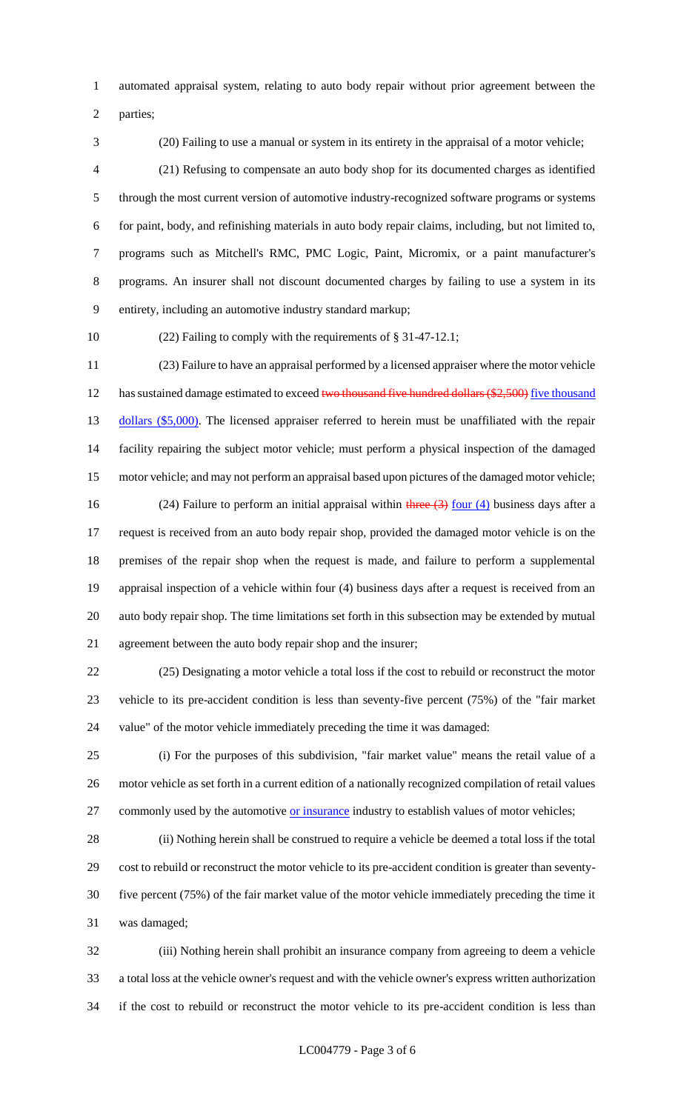automated appraisal system, relating to auto body repair without prior agreement between the

parties;

(20) Failing to use a manual or system in its entirety in the appraisal of a motor vehicle;

 (21) Refusing to compensate an auto body shop for its documented charges as identified through the most current version of automotive industry-recognized software programs or systems for paint, body, and refinishing materials in auto body repair claims, including, but not limited to, programs such as Mitchell's RMC, PMC Logic, Paint, Micromix, or a paint manufacturer's programs. An insurer shall not discount documented charges by failing to use a system in its entirety, including an automotive industry standard markup;

(22) Failing to comply with the requirements of § 31-47-12.1;

 (23) Failure to have an appraisal performed by a licensed appraiser where the motor vehicle 12 has sustained damage estimated to exceed two thousand five hundred dollars (\$2,500) five thousand 13 dollars (\$5,000). The licensed appraiser referred to herein must be unaffiliated with the repair facility repairing the subject motor vehicle; must perform a physical inspection of the damaged motor vehicle; and may not perform an appraisal based upon pictures of the damaged motor vehicle; 16 (24) Failure to perform an initial appraisal within three  $\left(3\right)$  four  $\left(4\right)$  business days after a request is received from an auto body repair shop, provided the damaged motor vehicle is on the premises of the repair shop when the request is made, and failure to perform a supplemental appraisal inspection of a vehicle within four (4) business days after a request is received from an auto body repair shop. The time limitations set forth in this subsection may be extended by mutual agreement between the auto body repair shop and the insurer;

 (25) Designating a motor vehicle a total loss if the cost to rebuild or reconstruct the motor vehicle to its pre-accident condition is less than seventy-five percent (75%) of the "fair market value" of the motor vehicle immediately preceding the time it was damaged:

 (i) For the purposes of this subdivision, "fair market value" means the retail value of a motor vehicle as set forth in a current edition of a nationally recognized compilation of retail values 27 commonly used by the automotive or insurance industry to establish values of motor vehicles;

 (ii) Nothing herein shall be construed to require a vehicle be deemed a total loss if the total cost to rebuild or reconstruct the motor vehicle to its pre-accident condition is greater than seventy- five percent (75%) of the fair market value of the motor vehicle immediately preceding the time it was damaged;

 (iii) Nothing herein shall prohibit an insurance company from agreeing to deem a vehicle a total loss at the vehicle owner's request and with the vehicle owner's express written authorization if the cost to rebuild or reconstruct the motor vehicle to its pre-accident condition is less than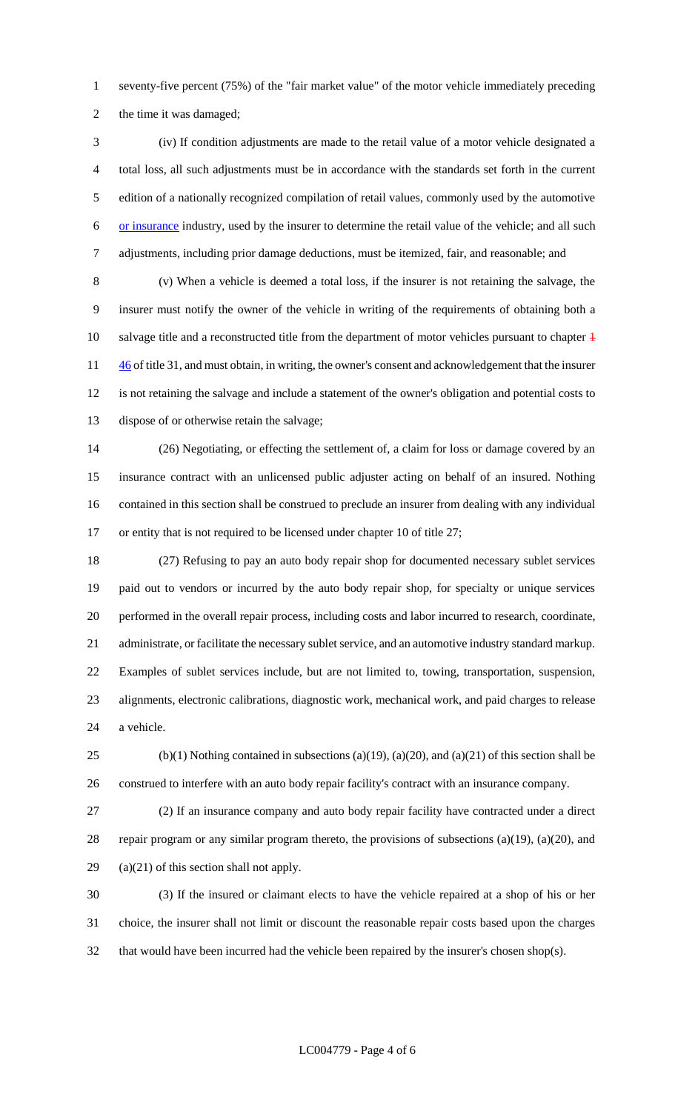seventy-five percent (75%) of the "fair market value" of the motor vehicle immediately preceding the time it was damaged;

 (iv) If condition adjustments are made to the retail value of a motor vehicle designated a total loss, all such adjustments must be in accordance with the standards set forth in the current edition of a nationally recognized compilation of retail values, commonly used by the automotive or insurance industry, used by the insurer to determine the retail value of the vehicle; and all such adjustments, including prior damage deductions, must be itemized, fair, and reasonable; and

 (v) When a vehicle is deemed a total loss, if the insurer is not retaining the salvage, the insurer must notify the owner of the vehicle in writing of the requirements of obtaining both a 10 salvage title and a reconstructed title from the department of motor vehicles pursuant to chapter  $\ddagger$  $\frac{46}{1}$  of title 31, and must obtain, in writing, the owner's consent and acknowledgement that the insurer is not retaining the salvage and include a statement of the owner's obligation and potential costs to dispose of or otherwise retain the salvage;

 (26) Negotiating, or effecting the settlement of, a claim for loss or damage covered by an insurance contract with an unlicensed public adjuster acting on behalf of an insured. Nothing contained in this section shall be construed to preclude an insurer from dealing with any individual 17 or entity that is not required to be licensed under chapter 10 of title 27;

 (27) Refusing to pay an auto body repair shop for documented necessary sublet services paid out to vendors or incurred by the auto body repair shop, for specialty or unique services performed in the overall repair process, including costs and labor incurred to research, coordinate, administrate, or facilitate the necessary sublet service, and an automotive industry standard markup. Examples of sublet services include, but are not limited to, towing, transportation, suspension, alignments, electronic calibrations, diagnostic work, mechanical work, and paid charges to release a vehicle.

25 (b)(1) Nothing contained in subsections (a)(19), (a)(20), and (a)(21) of this section shall be construed to interfere with an auto body repair facility's contract with an insurance company.

 (2) If an insurance company and auto body repair facility have contracted under a direct repair program or any similar program thereto, the provisions of subsections (a)(19), (a)(20), and (a)(21) of this section shall not apply.

 (3) If the insured or claimant elects to have the vehicle repaired at a shop of his or her choice, the insurer shall not limit or discount the reasonable repair costs based upon the charges that would have been incurred had the vehicle been repaired by the insurer's chosen shop(s).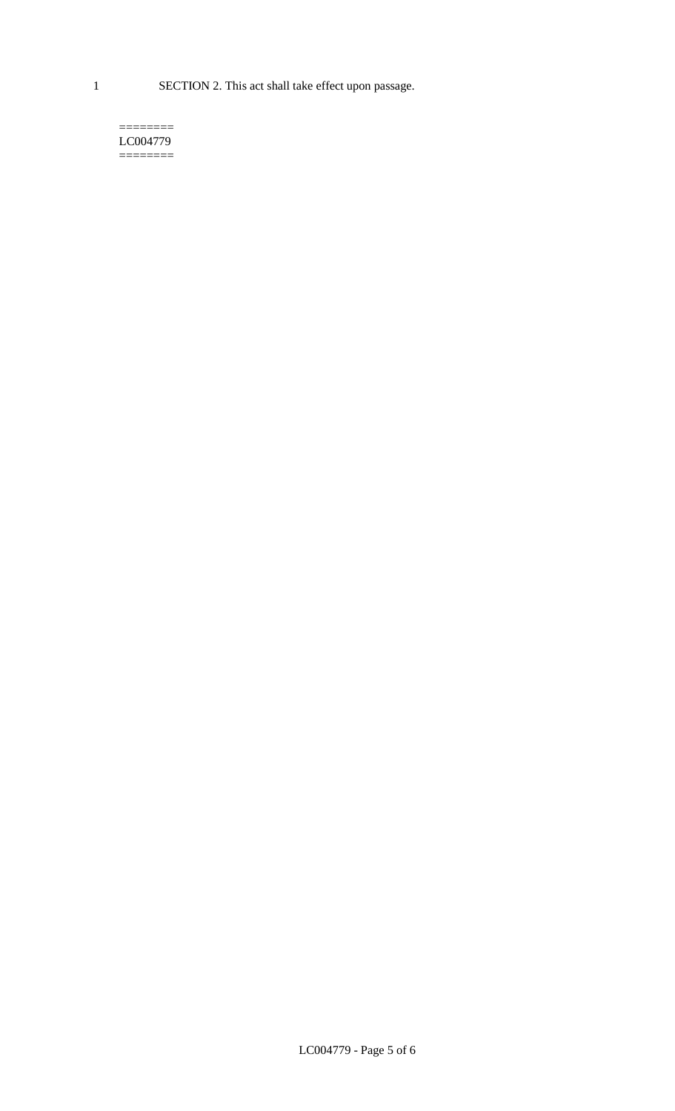1 SECTION 2. This act shall take effect upon passage.

#### $=$ LC004779  $=$